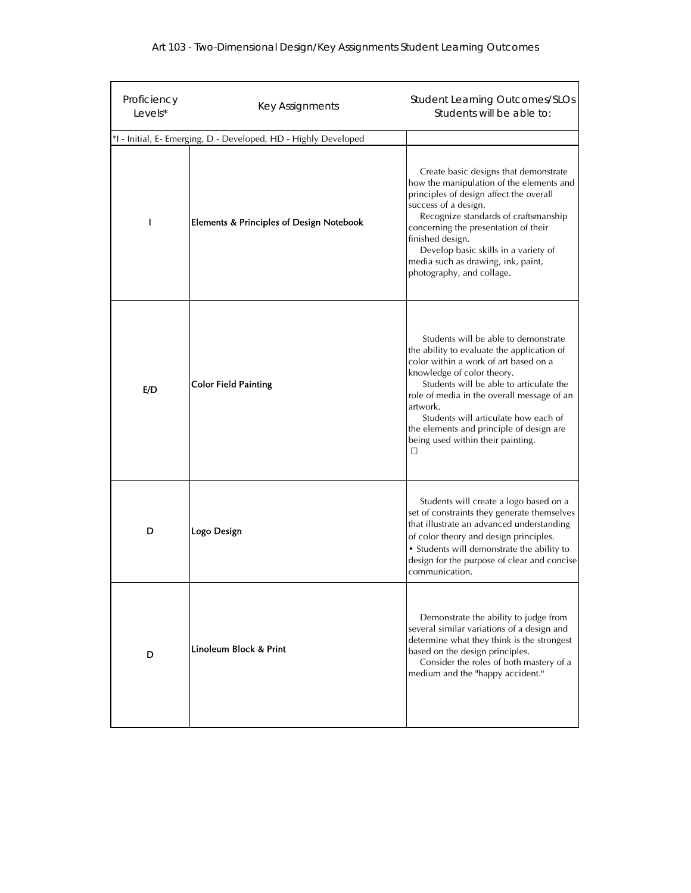| Proficiency<br>Levels* | Key Assignments                                                 | <b>Student Learning Outcomes/SLOs</b><br>Students will be able to:                                                                                                                                                                                                                                                                                                                           |
|------------------------|-----------------------------------------------------------------|----------------------------------------------------------------------------------------------------------------------------------------------------------------------------------------------------------------------------------------------------------------------------------------------------------------------------------------------------------------------------------------------|
|                        | *I - Initial, E- Emerging, D - Developed, HD - Highly Developed |                                                                                                                                                                                                                                                                                                                                                                                              |
| H                      | <b>Elements &amp; Principles of Design Notebook</b>             | Create basic designs that demonstrate<br>how the manipulation of the elements and<br>principles of design affect the overall<br>success of a design.<br>Recognize standards of craftsmanship<br>concerning the presentation of their<br>finished design.<br>Develop basic skills in a variety of<br>media such as drawing, ink, paint,<br>photography, and collage.                          |
| E/D                    | <b>Color Field Painting</b>                                     | Students will be able to demonstrate<br>the ability to evaluate the application of<br>color within a work of art based on a<br>knowledge of color theory.<br>Students will be able to articulate the<br>role of media in the overall message of an<br>artwork.<br>Students will articulate how each of<br>the elements and principle of design are<br>being used within their painting.<br>□ |
| D                      | Logo Design                                                     | Students will create a logo based on a<br>set of constraints they generate themselves<br>that illustrate an advanced understanding<br>of color theory and design principles.<br>• Students will demonstrate the ability to<br>design for the purpose of clear and concise<br>communication.                                                                                                  |
| D                      | Linoleum Block & Print                                          | Demonstrate the ability to judge from<br>several similar variations of a design and<br>determine what they think is the strongest<br>based on the design principles.<br>Consider the roles of both mastery of a<br>medium and the "happy accident."                                                                                                                                          |